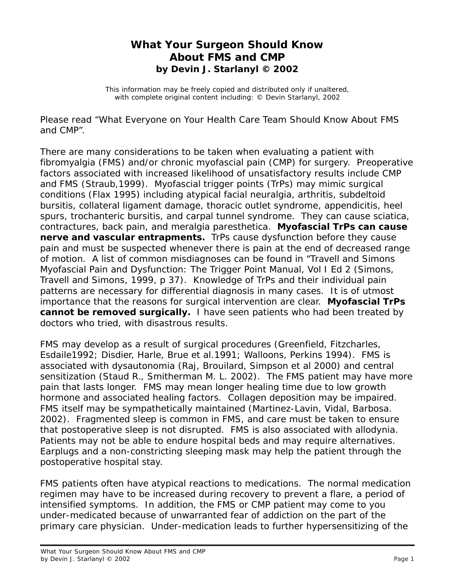## **What Your Surgeon Should Know About FMS and CMP by Devin J. Starlanyl © 2002**

This information may be freely copied and distributed only if unaltered, with complete original content including: © Devin Starlanyl, 2002

Please read "What Everyone on Your Health Care Team Should Know About FMS and CMP".

There are many considerations to be taken when evaluating a patient with fibromyalgia (FMS) and/or chronic myofascial pain (CMP) for surgery. Preoperative factors associated with increased likelihood of unsatisfactory results include CMP and FMS (Straub,1999). Myofascial trigger points (TrPs) may mimic surgical conditions (Flax 1995) including atypical facial neuralgia, arthritis, subdeltoid bursitis, collateral ligament damage, thoracic outlet syndrome, appendicitis, heel spurs, trochanteric bursitis, and carpal tunnel syndrome. They can cause sciatica, contractures, back pain, and meralgia paresthetica. **Myofascial TrPs can cause nerve and vascular entrapments.** TrPs cause dysfunction before they cause pain and must be suspected whenever there is pain at the end of decreased range of motion. A list of common misdiagnoses can be found in "Travell and Simons Myofascial Pain and Dysfunction: The Trigger Point Manual, Vol I Ed 2 (Simons, Travell and Simons, 1999, p 37). Knowledge of TrPs and their individual pain patterns are necessary for differential diagnosis in many cases. It is of utmost importance that the reasons for surgical intervention are clear. **Myofascial TrPs cannot be removed surgically.** I have seen patients who had been treated by doctors who tried, with disastrous results.

FMS may develop as a result of surgical procedures (Greenfield, Fitzcharles, Esdaile1992; Disdier, Harle, Brue et al.1991; Walloons, Perkins 1994). FMS is associated with dysautonomia (Raj, Brouilard, Simpson et al 2000) and central sensitization (Staud R., Smitherman M. L. 2002). The FMS patient may have more pain that lasts longer. FMS may mean longer healing time due to low growth hormone and associated healing factors. Collagen deposition may be impaired. FMS itself may be sympathetically maintained (Martinez-Lavin, Vidal, Barbosa. 2002). Fragmented sleep is common in FMS, and care must be taken to ensure that postoperative sleep is not disrupted. FMS is also associated with allodynia. Patients may not be able to endure hospital beds and may require alternatives. Earplugs and a non-constricting sleeping mask may help the patient through the postoperative hospital stay.

FMS patients often have atypical reactions to medications. The normal medication regimen may have to be increased during recovery to prevent a flare, a period of intensified symptoms. In addition, the FMS or CMP patient may come to you under-medicated because of unwarranted fear of addiction on the part of the primary care physician. Under-medication leads to further hypersensitizing of the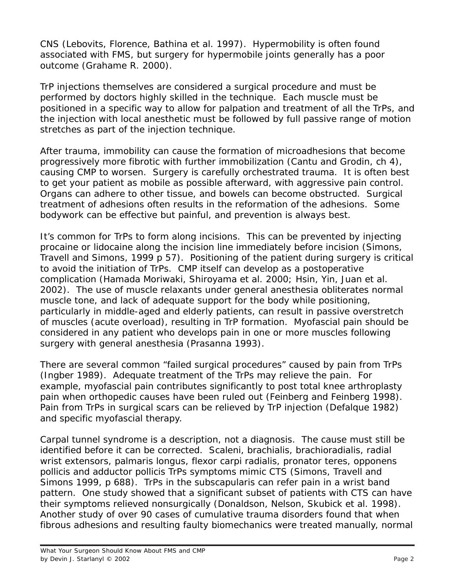CNS (Lebovits, Florence, Bathina et al. 1997). Hypermobility is often found associated with FMS, but surgery for hypermobile joints generally has a poor outcome (Grahame R. 2000).

TrP injections themselves are considered a surgical procedure and must be performed by doctors highly skilled in the technique. Each muscle must be positioned in a specific way to allow for palpation and treatment of all the TrPs, and the injection with local anesthetic must be followed by full passive range of motion stretches as part of the injection technique.

After trauma, immobility can cause the formation of microadhesions that become progressively more fibrotic with further immobilization (Cantu and Grodin, ch 4), causing CMP to worsen. Surgery is carefully orchestrated trauma. It is often best to get your patient as mobile as possible afterward, with aggressive pain control. Organs can adhere to other tissue, and bowels can become obstructed. Surgical treatment of adhesions often results in the reformation of the adhesions. Some bodywork can be effective but painful, and prevention is always best.

It's common for TrPs to form along incisions. This can be prevented by injecting procaine or lidocaine along the incision line immediately before incision (Simons, Travell and Simons, 1999 p 57). Positioning of the patient during surgery is critical to avoid the initiation of TrPs. CMP itself can develop as a postoperative complication (Hamada Moriwaki, Shiroyama et al. 2000; Hsin, Yin, Juan et al. 2002). The use of muscle relaxants under general anesthesia obliterates normal muscle tone, and lack of adequate support for the body while positioning, particularly in middle-aged and elderly patients, can result in passive overstretch of muscles (acute overload), resulting in TrP formation. Myofascial pain should be considered in any patient who develops pain in one or more muscles following surgery with general anesthesia (Prasanna 1993).

There are several common "failed surgical procedures" caused by pain from TrPs (Ingber 1989). Adequate treatment of the TrPs may relieve the pain. For example, myofascial pain contributes significantly to post total knee arthroplasty pain when orthopedic causes have been ruled out (Feinberg and Feinberg 1998). Pain from TrPs in surgical scars can be relieved by TrP injection (Defalque 1982) and specific myofascial therapy.

Carpal tunnel syndrome is a description, not a diagnosis. The cause must still be identified before it can be corrected. Scaleni, brachialis, brachioradialis, radial wrist extensors, palmaris longus, flexor carpi radialis, pronator teres, opponens pollicis and adductor pollicis TrPs symptoms mimic CTS (Simons, Travell and Simons 1999, p 688). TrPs in the subscapularis can refer pain in a wrist band pattern. One study showed that a significant subset of patients with CTS can have their symptoms relieved nonsurgically (Donaldson, Nelson, Skubick et al. 1998). Another study of over 90 cases of cumulative trauma disorders found that when fibrous adhesions and resulting faulty biomechanics were treated manually, normal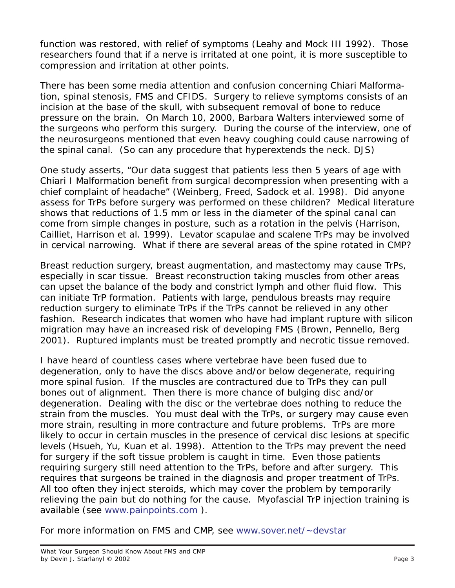function was restored, with relief of symptoms (Leahy and Mock III 1992). Those researchers found that if a nerve is irritated at one point, it is more susceptible to compression and irritation at other points.

There has been some media attention and confusion concerning Chiari Malformation, spinal stenosis, FMS and CFIDS. Surgery to relieve symptoms consists of an incision at the base of the skull, with subsequent removal of bone to reduce pressure on the brain. On March 10, 2000, Barbara Walters interviewed some of the surgeons who perform this surgery. During the course of the interview, one of the neurosurgeons mentioned that even heavy coughing could cause narrowing of the spinal canal. (So can any procedure that hyperextends the neck. DJS)

One study asserts, "Our data suggest that patients less then 5 years of age with Chiari I Malformation benefit from surgical decompression when presenting with a chief complaint of headache" (Weinberg, Freed, Sadock et al. 1998). Did anyone assess for TrPs before surgery was performed on these children? Medical literature shows that reductions of 1.5 mm or less in the diameter of the spinal canal can come from simple *changes in posture*, such as a rotation in the pelvis (Harrison, Cailliet, Harrison et al. 1999). Levator scapulae and scalene TrPs may be involved in cervical narrowing. What if there are several areas of the spine rotated in CMP?

Breast reduction surgery, breast augmentation, and mastectomy may cause TrPs, especially in scar tissue. Breast reconstruction taking muscles from other areas can upset the balance of the body and constrict lymph and other fluid flow. This can initiate TrP formation. Patients with large, pendulous breasts may require reduction surgery to eliminate TrPs if the TrPs cannot be relieved in any other fashion. Research indicates that women who have had implant rupture with silicon migration may have an increased risk of developing FMS (Brown, Pennello, Berg 2001). Ruptured implants must be treated promptly and necrotic tissue removed.

I have heard of countless cases where vertebrae have been fused due to degeneration, only to have the discs above and/or below degenerate, requiring more spinal fusion. If the muscles are contractured due to TrPs they can pull bones out of alignment. Then there is more chance of bulging disc and/or degeneration. Dealing with the disc or the vertebrae does nothing to reduce the strain from the muscles. You must deal with the TrPs, or surgery may cause even more strain, resulting in more contracture and future problems. TrPs are more likely to occur in certain muscles in the presence of cervical disc lesions at specific levels (Hsueh, Yu, Kuan et al. 1998). Attention to the TrPs may prevent the need for surgery if the soft tissue problem is caught in time. Even those patients requiring surgery still need attention to the TrPs, before and after surgery. This requires that surgeons be trained in the diagnosis and proper treatment of TrPs. All too often they inject steroids, which may cover the problem by temporarily relieving the pain but do nothing for the cause. Myofascial TrP injection training is available (see www.painpoints.com ).

For more information on FMS and CMP, see www.sover.net/~devstar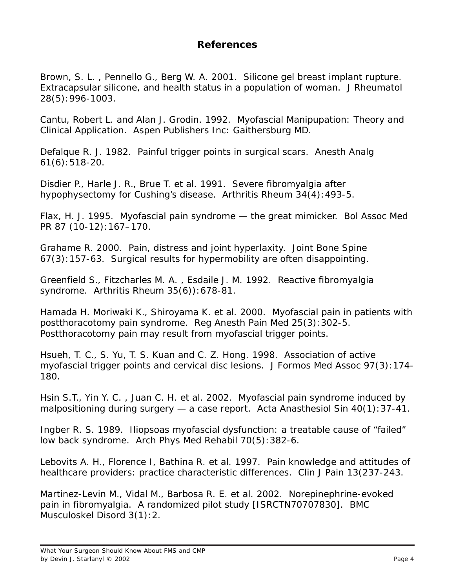## **References**

Brown, S. L. , Pennello G., Berg W. A. 2001. Silicone gel breast implant rupture. Extracapsular silicone, and health status in a population of woman. *J Rheumatol* 28(5):996-1003.

Cantu, Robert L. and Alan J. Grodin. 1992. *Myofascial Manipupation: Theory and Clinical Application*. Aspen Publishers Inc: Gaithersburg MD.

Defalque R. J. 1982. Painful trigger points in surgical scars. *Anesth Analg* 61(6):518-20.

Disdier P., Harle J. R., Brue T. et al. 1991. Severe fibromyalgia after hypophysectomy for Cushing's disease. *Arthritis Rheum* 34(4):493-5.

Flax, H. J. 1995. Myofascial pain syndrome — the great mimicker. *Bol Assoc Med* PR 87 (10-12):167–170.

Grahame R. 2000. Pain, distress and joint hyperlaxity. *Joint Bone Spine* 67(3):157-63. Surgical results for hypermobility are often disappointing.

Greenfield S., Fitzcharles M. A. , Esdaile J. M. 1992. Reactive fibromyalgia syndrome. *Arthritis Rheum* 35(6)):678-81.

Hamada H. Moriwaki K., Shiroyama K. et al. 2000. Myofascial pain in patients with postthoracotomy pain syndrome. *Reg Anesth Pain Med* 25(3):302-5. Postthoracotomy pain may result from myofascial trigger points.

Hsueh, T. C., S. Yu, T. S. Kuan and C. Z. Hong. 1998. Association of active myofascial trigger points and cervical disc lesions. *J Formos Med Assoc* 97(3):174- 180.

Hsin S.T., Yin Y. C. , Juan C. H. et al. 2002. Myofascial pain syndrome induced by malpositioning during surgery — a case report. *Acta Anasthesiol Sin* 40(1):37-41.

Ingber R. S. 1989. Iliopsoas myofascial dysfunction: a treatable cause of "failed" low back syndrome. *Arch Phys Med Rehabil* 70(5):382-6.

Lebovits A. H., Florence I, Bathina R. et al. 1997. Pain knowledge and attitudes of healthcare providers: practice characteristic differences. *Clin J Pain* 13(237-243.

Martinez-Levin M., Vidal M., Barbosa R. E. et al. 2002. Norepinephrine-evoked pain in fibromyalgia. A randomized pilot study [ISRCTN70707830]. *BMC Musculoskel Disord* 3(1):2.